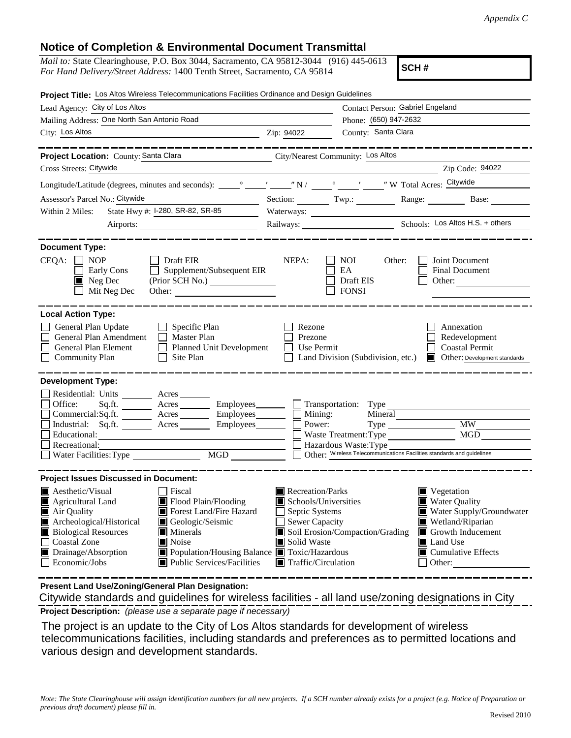## **Notice of Completion & Environmental Document Transmittal**

| <i>Mail to:</i> State Clearinghouse, P.O. Box 3044, Sacramento, CA 95812-3044 (916) 445-0613 |  |
|----------------------------------------------------------------------------------------------|--|
| For Hand Delivery/Street Address: 1400 Tenth Street, Sacramento, CA 95814                    |  |

**SCH #**

| Project Title: Los Altos Wireless Telecommunications Facilities Ordinance and Design Guidelines                                                                                                                                                                                                                                                                                                                   |                                                                                                                                                                                                                                                                                                                                                                                        |  |
|-------------------------------------------------------------------------------------------------------------------------------------------------------------------------------------------------------------------------------------------------------------------------------------------------------------------------------------------------------------------------------------------------------------------|----------------------------------------------------------------------------------------------------------------------------------------------------------------------------------------------------------------------------------------------------------------------------------------------------------------------------------------------------------------------------------------|--|
| Lead Agency: City of Los Altos                                                                                                                                                                                                                                                                                                                                                                                    | Contact Person: Gabriel Engeland                                                                                                                                                                                                                                                                                                                                                       |  |
| Mailing Address: One North San Antonio Road                                                                                                                                                                                                                                                                                                                                                                       | Phone: (650) 947-2632                                                                                                                                                                                                                                                                                                                                                                  |  |
| City: Los Altos                                                                                                                                                                                                                                                                                                                                                                                                   | Zip: 94022<br>County: Santa Clara                                                                                                                                                                                                                                                                                                                                                      |  |
| Project Location: County: Santa Clara                                                                                                                                                                                                                                                                                                                                                                             | City/Nearest Community: Los Altos                                                                                                                                                                                                                                                                                                                                                      |  |
| Cross Streets: Citywide                                                                                                                                                                                                                                                                                                                                                                                           | Zip Code: 94022                                                                                                                                                                                                                                                                                                                                                                        |  |
|                                                                                                                                                                                                                                                                                                                                                                                                                   |                                                                                                                                                                                                                                                                                                                                                                                        |  |
| Assessor's Parcel No.: Citywide<br>$\overline{\phantom{a}}$                                                                                                                                                                                                                                                                                                                                                       | Section: Twp.: Range: Base: Base:                                                                                                                                                                                                                                                                                                                                                      |  |
| State Hwy #: I-280, SR-82, SR-85<br>Within 2 Miles:                                                                                                                                                                                                                                                                                                                                                               | Waterways:                                                                                                                                                                                                                                                                                                                                                                             |  |
|                                                                                                                                                                                                                                                                                                                                                                                                                   | Railways: <u>Cos Altos H.S. + others</u>                                                                                                                                                                                                                                                                                                                                               |  |
| <b>Document Type:</b><br>$CEQA: \Box NP$<br>$\Box$ Draft EIR<br>$\Box$ Supplement/Subsequent EIR<br>Early Cons<br>(Prior SCH No.)<br>$\blacksquare$ Neg Dec<br>$\Box$ Mit Neg Dec                                                                                                                                                                                                                                 | NEPA:<br>NOI 11<br>Other:<br>Joint Document<br><b>Final Document</b><br>EA<br>Draft EIS<br>Other:<br><b>FONSI</b>                                                                                                                                                                                                                                                                      |  |
| <b>Local Action Type:</b><br>$\Box$ Specific Plan<br>General Plan Update                                                                                                                                                                                                                                                                                                                                          | Rezone<br>Annexation                                                                                                                                                                                                                                                                                                                                                                   |  |
| General Plan Amendment<br>$\Box$ Master Plan<br>General Plan Element<br>Planned Unit Development                                                                                                                                                                                                                                                                                                                  | Prezone<br>Redevelopment<br>$\Box$ Use Permit<br><b>Coastal Permit</b>                                                                                                                                                                                                                                                                                                                 |  |
| $\Box$ Site Plan<br><b>Community Plan</b>                                                                                                                                                                                                                                                                                                                                                                         | Land Division (Subdivision, etc.) <b>I</b> Other: Development standards                                                                                                                                                                                                                                                                                                                |  |
| <b>Development Type:</b><br>Residential: Units _______ Acres ______<br>Office:<br>Commercial: $Sq$ .ft. $\overline{\qquad}$ Acres $\overline{\qquad}$ Employees $\Box$ Mining:<br>Industrial: Sq.ft. <u>Acres</u> Acres Employees<br>Educational:<br>Recreational:<br>MGD MGD<br>Water Facilities: Type                                                                                                           | Sq.ft. _________ Acres __________ Employees ________ ___ Transportation: Type _____________________<br>Mineral<br><b>MW</b><br>Power:<br>$Type \_\_$<br>MGD<br>Waste Treatment: Type<br>$\Box$ Hazardous Waste: Type<br>Other: Wireless Telecommunications Facilities standards and guidelines                                                                                         |  |
| <b>Project Issues Discussed in Document:</b>                                                                                                                                                                                                                                                                                                                                                                      |                                                                                                                                                                                                                                                                                                                                                                                        |  |
| <b>A</b> esthetic/Visual<br><b>Fiscal</b><br>Agricultural Land<br>Flood Plain/Flooding<br>Air Quality<br>Forest Land/Fire Hazard<br>Archeological/Historical<br>Geologic/Seismic<br><b>Biological Resources</b><br>$\blacksquare$ Minerals<br><b>Coastal Zone</b><br>Noise<br>Drainage/Absorption<br>■ Population/Housing Balance ■ Toxic/Hazardous<br>$\blacksquare$ Public Services/Facilities<br>Economic/Jobs | Recreation/Parks<br>$\blacksquare$ Vegetation<br>Water Quality<br>Schools/Universities<br>Water Supply/Groundwater<br>$\Box$ Septic Systems<br>$\Box$ Sewer Capacity<br>Wetland/Riparian<br>Soil Erosion/Compaction/Grading<br>$\blacksquare$ Growth Inducement<br>Solid Waste<br>Land Use<br>$\blacksquare$ Cumulative Effects<br>$\blacksquare$ Traffic/Circulation<br>$\Box$ Other: |  |

**Present Land Use/Zoning/General Plan Designation:**

**Project Description:** *(please use a separate page if necessary)* Citywide standards and guidelines for wireless facilities - all land use/zoning designations in City

 The project is an update to the City of Los Altos standards for development of wireless telecommunications facilities, including standards and preferences as to permitted locations and various design and development standards.